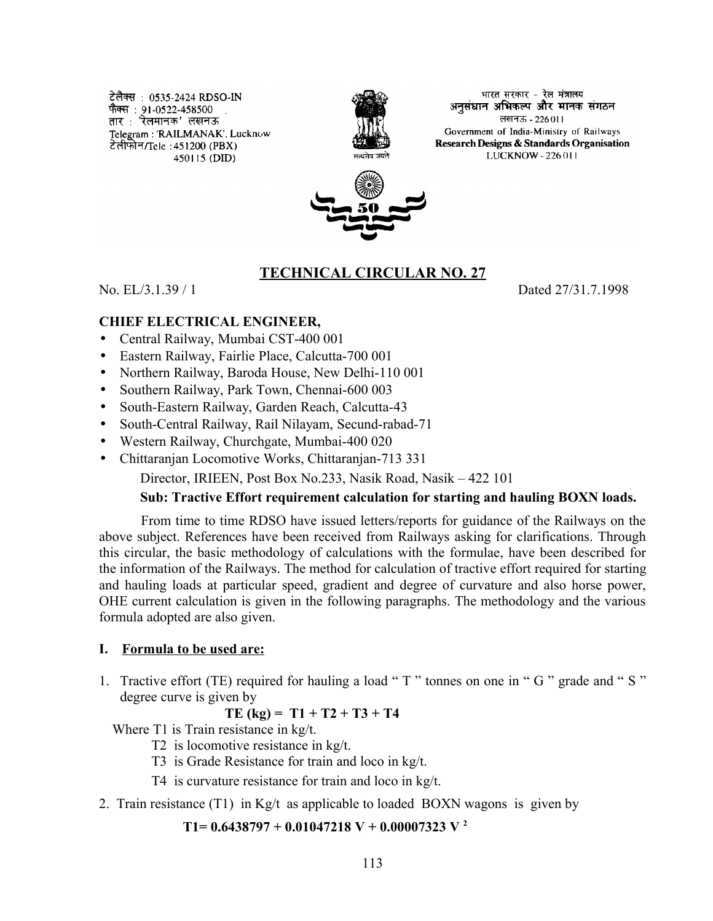टेलैक्स : 0535-2424 RDSO-IN फैक्स : 91-0522-458500<br>तार : 'रेलमानक' लखनऊ Telegram: 'RAILMANAK', Lucknow टेलीफोन/Tele : 451200 (PBX) 450115 (DID)



भारत सरकार - रेल मंत्रालय. अनसंधान अभिकल्प और मानक संगठन लखनऊ - 226011 Government of India-Ministry of Railways Research Designs & Standards Organisation LUCKNOW - 226 011



### **TECHNICAL CIRCULAR NO. 27**

No. EL/3.1.39 / 1 Dated 27/31.7.1998

#### **CHIEF ELECTRICAL ENGINEER,**

- Central Railway, Mumbai CST-400 001
- Eastern Railway, Fairlie Place, Calcutta-700 001
- Northern Railway, Baroda House, New Delhi-110 001
- Southern Railway, Park Town, Chennai-600 003
- South-Eastern Railway, Garden Reach, Calcutta-43
- South-Central Railway, Rail Nilayam, Secund-rabad-71
- Western Railway, Churchgate, Mumbai-400 020
- Chittaranjan Locomotive Works, Chittaranjan-713 331

Director, IRIEEN, Post Box No.233, Nasik Road, Nasik – 422 101

#### **Sub: Tractive Effort requirement calculation for starting and hauling BOXN loads.**

From time to time RDSO have issued letters/reports for guidance of the Railways on the above subject. References have been received from Railways asking for clarifications. Through this circular, the basic methodology of calculations with the formulae, have been described for the information of the Railways. The method for calculation of tractive effort required for starting and hauling loads at particular speed, gradient and degree of curvature and also horse power, OHE current calculation is given in the following paragraphs. The methodology and the various formula adopted are also given.

#### **I. Formula to be used are:**

1. Tractive effort (TE) required for hauling a load " T " tonnes on one in " G " grade and " S " degree curve is given by

$$
TE (kg) = T1 + T2 + T3 + T4
$$

Where T1 is Train resistance in kg/t.

- T2 is locomotive resistance in kg/t.
- T3 is Grade Resistance for train and loco in kg/t.
- T4 is curvature resistance for train and loco in kg/t.
- 2. Train resistance (T1) in Kg/t as applicable to loaded BOXN wagons is given by

**T1= 0.6438797 + 0.01047218 V + 0.00007323 V <sup>2</sup>**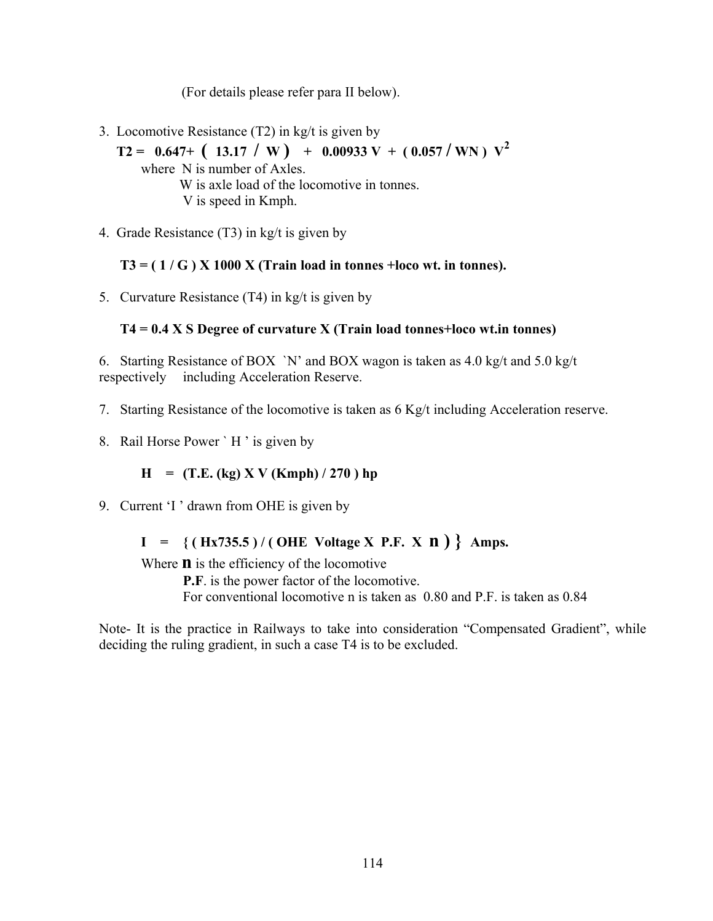(For details please refer para II below).

- 3. Locomotive Resistance (T2) in kg/t is given by
	- $T2 = 0.647+ (13.17 \mid W) + 0.00933 V + (0.057 \mid W) V^2$ where N is number of Axles. W is axle load of the locomotive in tonnes. V is speed in Kmph.
- 4. Grade Resistance (T3) in kg/t is given by

**T3 = ( 1 / G ) X 1000 X (Train load in tonnes +loco wt. in tonnes).**

5. Curvature Resistance (T4) in kg/t is given by

## **T4 = 0.4 X S Degree of curvature X (Train load tonnes+loco wt.in tonnes)**

6. Starting Resistance of BOX `N' and BOX wagon is taken as 4.0 kg/t and 5.0 kg/t respectively including Acceleration Reserve.

- 7. Starting Resistance of the locomotive is taken as 6 Kg/t including Acceleration reserve.
- 8. Rail Horse Power ` H ' is given by

## $H = (T.E. (kg) X V (Kmph) / 270) hp$

9. Current 'I ' drawn from OHE is given by

# **I = { ( Hx735.5 ) / ( OHE Voltage X P.F. X n ) } Amps.**

Where **n** is the efficiency of the locomotive

**P.F**. is the power factor of the locomotive.

For conventional locomotive n is taken as 0.80 and P.F. is taken as 0.84

Note- It is the practice in Railways to take into consideration "Compensated Gradient", while deciding the ruling gradient, in such a case T4 is to be excluded.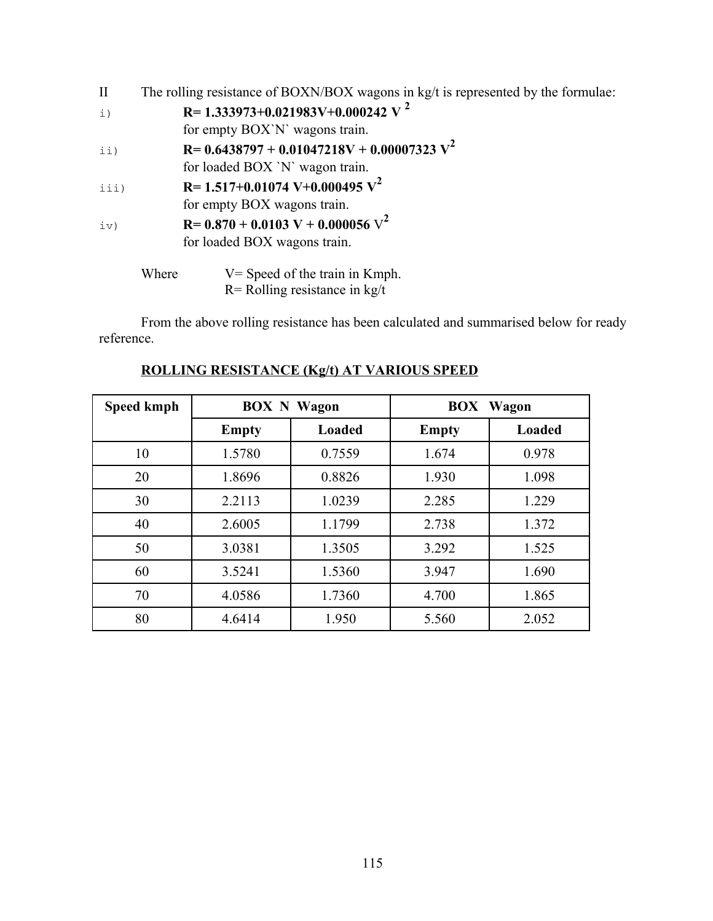| $\mathbf{I}$   | The rolling resistance of BOXN/BOX wagons in kg/t is represented by the formulae: |                                                   |  |
|----------------|-----------------------------------------------------------------------------------|---------------------------------------------------|--|
| $\downarrow$ ) |                                                                                   | R= 1.333973+0.021983V+0.000242 V <sup>2</sup>     |  |
|                |                                                                                   | for empty BOX'N' wagons train.                    |  |
| $\pm i$ )      |                                                                                   | $R = 0.6438797 + 0.01047218V + 0.00007323 V^2$    |  |
|                |                                                                                   | for loaded BOX 'N' wagon train.                   |  |
| iii)           |                                                                                   | $R = 1.517 + 0.01074$ V + 0.000495 V <sup>2</sup> |  |
|                |                                                                                   | for empty BOX wagons train.                       |  |
| iv)            |                                                                                   | $R = 0.870 + 0.0103$ V + 0.000056 V <sup>2</sup>  |  |
|                |                                                                                   | for loaded BOX wagons train.                      |  |
|                | Where                                                                             | $V =$ Speed of the train in Kmph.                 |  |

R= Rolling resistance in kg/t

From the above rolling resistance has been calculated and summarised below for ready reference.

| <b>Speed kmph</b> | <b>BOX N Wagon</b> |               | <b>BOX</b> Wagon |        |
|-------------------|--------------------|---------------|------------------|--------|
|                   | <b>Empty</b>       | <b>Loaded</b> | <b>Empty</b>     | Loaded |
| 10                | 1.5780             | 0.7559        | 1.674            | 0.978  |
| 20                | 1.8696             | 0.8826        | 1.930            | 1.098  |
| 30                | 2.2113             | 1.0239        | 2.285            | 1.229  |
| 40                | 2.6005             | 1.1799        | 2.738            | 1.372  |
| 50                | 3.0381             | 1.3505        | 3.292            | 1.525  |
| 60                | 3.5241             | 1.5360        | 3.947            | 1.690  |
| 70                | 4.0586             | 1.7360        | 4.700            | 1.865  |
| 80                | 4.6414             | 1.950         | 5.560            | 2.052  |

# **ROLLING RESISTANCE (Kg/t) AT VARIOUS SPEED**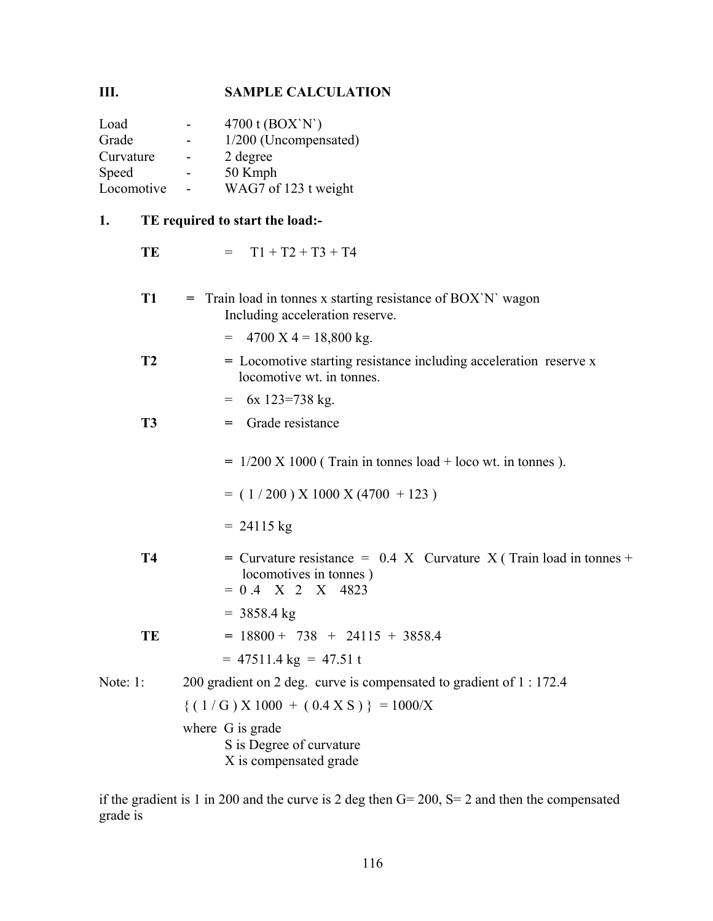# **III. SAMPLE CALCULATION**

| Load       |                | 4700 t (BOX`N`)       |
|------------|----------------|-----------------------|
| Grade      |                | 1/200 (Uncompensated) |
| Curvature  | $\blacksquare$ | 2 degree              |
| Speed      |                | 50 Kmph               |
| Locomotive |                | WAG7 of 123 t weight  |

# **1. TE required to start the load:-**

| ı.       |           | TE Tequiteu to start the idag.                                                                                       |  |  |  |
|----------|-----------|----------------------------------------------------------------------------------------------------------------------|--|--|--|
|          | TE        | $= T1 + T2 + T3 + T4$                                                                                                |  |  |  |
|          | <b>T1</b> | $=$ Train load in tonnes x starting resistance of BOX'N' wagon<br>Including acceleration reserve.                    |  |  |  |
|          |           | $= 4700 \text{ X } 4 = 18,800 \text{ kg}.$                                                                           |  |  |  |
|          | <b>T2</b> | = Locomotive starting resistance including acceleration reserve x<br>locomotive wt. in tonnes.                       |  |  |  |
|          |           | $=$ 6x 123=738 kg.                                                                                                   |  |  |  |
|          | <b>T3</b> | = Grade resistance                                                                                                   |  |  |  |
|          |           | $= 1/200$ X 1000 (Train in tonnes load + loco wt. in tonnes ).                                                       |  |  |  |
|          |           | $= (1/200)$ X 1000 X (4700 + 123)                                                                                    |  |  |  |
|          |           | $= 24115 \text{ kg}$                                                                                                 |  |  |  |
|          | <b>T4</b> | = Curvature resistance = $0.4$ X Curvature X (Train load in tonnes +<br>locomotives in tonnes)<br>$= 0.4$ X 2 X 4823 |  |  |  |
|          |           | $= 3858.4$ kg                                                                                                        |  |  |  |
|          | TE        | $= 18800 + 738 + 24115 + 3858.4$                                                                                     |  |  |  |
|          |           | $=$ 47511.4 kg = 47.51 t                                                                                             |  |  |  |
| Note: 1: |           | 200 gradient on 2 deg. curve is compensated to gradient of 1 : 172.4                                                 |  |  |  |
|          |           | $\{(1/G) \times 1000 + (0.4 \times S)\}\ = 1000/X$                                                                   |  |  |  |
|          |           | where G is grade<br>S is Degree of curvature<br>X is compensated grade                                               |  |  |  |

if the gradient is 1 in 200 and the curve is 2 deg then G= 200, S= 2 and then the compensated grade is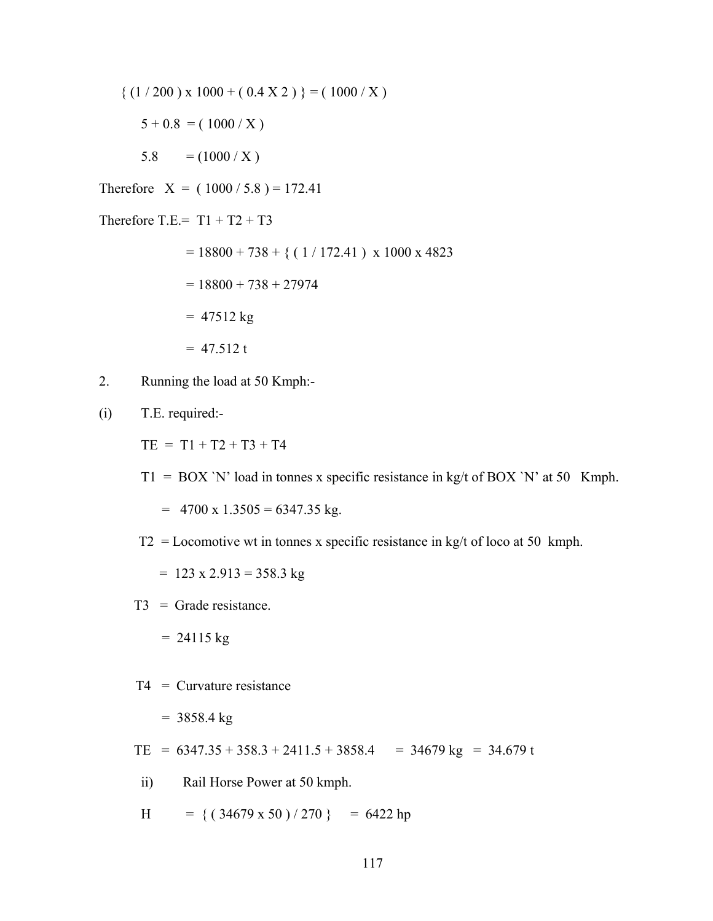$$
\{ (1/200) \times 1000 + (0.4 \text{ X } 2) \} = (1000 / \text{ X})
$$

- $5 + 0.8 = (1000 / X)$
- 5.8  $= (1000 / X)$
- Therefore  $X = (1000 / 5.8) = 172.41$

Therefore T.E.=  $T1 + T2 + T3$ 

 $= 18800 + 738 + { (1/172.41 ) x 1000 x 4823}$ 

$$
= 18800 + 738 + 27974
$$

- $= 47512 \text{ kg}$
- $= 47.512 t$
- 2. Running the load at 50 Kmph:-
- (i) T.E. required:-

 $TE = T1 + T2 + T3 + T4$ 

 $T1 = BOX'N'$  load in tonnes x specific resistance in kg/t of BOX 'N' at 50 Kmph.

 $= 4700 \text{ x } 1.3505 = 6347.35 \text{ kg}.$ 

T2 = Locomotive wt in tonnes x specific resistance in kg/t of loco at 50 kmph.

 $= 123 \times 2.913 = 358.3$  kg

T3 = Grade resistance.

 $= 24115 \text{ kg}$ 

 $T4 =$  Curvature resistance

 $= 3858.4$  kg

TE =  $6347.35 + 358.3 + 2411.5 + 3858.4$  =  $34679 \text{ kg}$  =  $34.679 \text{ t}$ 

ii) Rail Horse Power at 50 kmph.

H =  $\{(34679 \times 50)/270\}$  = 6422 hp